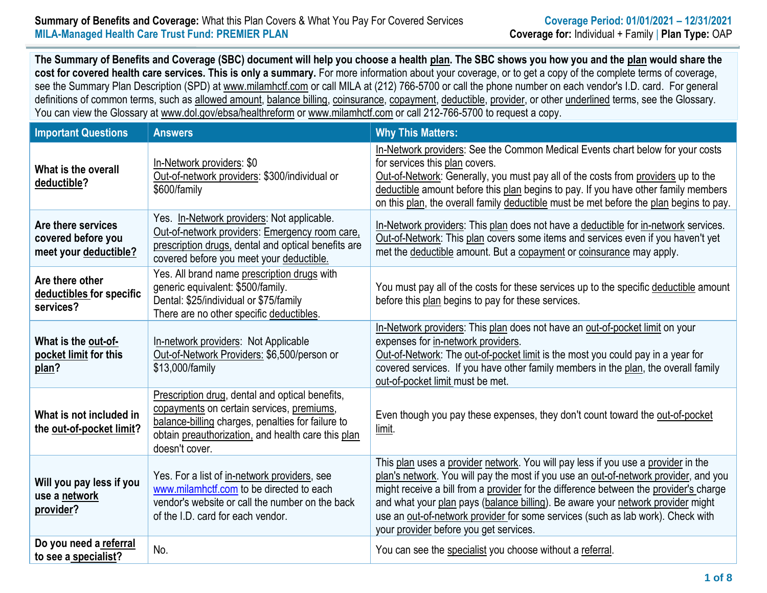#### **Summary of Benefits and Coverage:** What this Plan Covers & What You Pay For Covered Services **Coverage Period: 01/01/2021 – 12/31/2021 MILA-Managed Health Care Trust Fund: PREMIER PLAN Coverage for:** Individual + Family | **Plan Type:** OAP

**The Summary of Benefits and Coverage (SBC) document will help you choose a health [plan.](https://www.healthcare.gov/sbc-glossary/#plan) The SBC shows you how you and the [plan](https://www.healthcare.gov/sbc-glossary/#plan) would share the cost for covered health care services. This is only a summary.** For more information about your coverage, or to get a copy of the complete terms of coverage, see the Summary Plan Description (SPD) at www.milamhctf.com or call MILA at (212) 766-5700 or call the phone number on each vendor's I.D. card. For general definitions of common terms, such as [allowed amount,](https://www.healthcare.gov/sbc-glossary/#allowed-amount) [balance billing,](https://www.healthcare.gov/sbc-glossary/#balance-billing) [coinsurance,](https://www.healthcare.gov/sbc-glossary/#coinsurance) [copayment,](https://www.healthcare.gov/sbc-glossary/#copayment) [deductible,](https://www.healthcare.gov/sbc-glossary/#deductible) [provider,](https://www.healthcare.gov/sbc-glossary/#provider) or other underlined terms, see the Glossary. You can view the Glossary at www.dol.gov/ebsa/healthreform or www.milamhctf.com or call 212-766-5700 to request a copy.

| <b>Important Questions</b>                                        | <b>Answers</b>                                                                                                                                                                                                            | <b>Why This Matters:</b>                                                                                                                                                                                                                                                                                                                                                                                                                                                           |
|-------------------------------------------------------------------|---------------------------------------------------------------------------------------------------------------------------------------------------------------------------------------------------------------------------|------------------------------------------------------------------------------------------------------------------------------------------------------------------------------------------------------------------------------------------------------------------------------------------------------------------------------------------------------------------------------------------------------------------------------------------------------------------------------------|
| What is the overall<br>deductible?                                | In-Network providers: \$0<br>Out-of-network providers: \$300/individual or<br>\$600/family                                                                                                                                | In-Network providers: See the Common Medical Events chart below for your costs<br>for services this plan covers.<br>Out-of-Network: Generally, you must pay all of the costs from providers up to the<br>deductible amount before this plan begins to pay. If you have other family members<br>on this plan, the overall family deductible must be met before the plan begins to pay.                                                                                              |
| Are there services<br>covered before you<br>meet your deductible? | Yes. In-Network providers: Not applicable.<br>Out-of-network providers: Emergency room care,<br>prescription drugs, dental and optical benefits are<br>covered before you meet your deductible.                           | In-Network providers: This plan does not have a deductible for in-network services.<br>Out-of-Network: This plan covers some items and services even if you haven't yet<br>met the deductible amount. But a copayment or coinsurance may apply.                                                                                                                                                                                                                                    |
| Are there other<br>deductibles for specific<br>services?          | Yes. All brand name prescription drugs with<br>generic equivalent: \$500/family.<br>Dental: \$25/individual or \$75/family<br>There are no other specific deductibles.                                                    | You must pay all of the costs for these services up to the specific deductible amount<br>before this plan begins to pay for these services.                                                                                                                                                                                                                                                                                                                                        |
| What is the out-of-<br>pocket limit for this<br>plan?             | In-network providers: Not Applicable<br>Out-of-Network Providers: \$6,500/person or<br>\$13,000/family                                                                                                                    | In-Network providers: This plan does not have an out-of-pocket limit on your<br>expenses for in-network providers.<br>Out-of-Network: The out-of-pocket limit is the most you could pay in a year for<br>covered services. If you have other family members in the plan, the overall family<br>out-of-pocket limit must be met.                                                                                                                                                    |
| What is not included in<br>the out-of-pocket limit?               | Prescription drug, dental and optical benefits,<br>copayments on certain services, premiums,<br>balance-billing charges, penalties for failure to<br>obtain preauthorization, and health care this plan<br>doesn't cover. | Even though you pay these expenses, they don't count toward the out-of-pocket<br>limit.                                                                                                                                                                                                                                                                                                                                                                                            |
| Will you pay less if you<br>use a network<br>provider?            | Yes. For a list of in-network providers, see<br>www.milamhctf.com to be directed to each<br>vendor's website or call the number on the back<br>of the I.D. card for each vendor.                                          | This plan uses a provider network. You will pay less if you use a provider in the<br>plan's network. You will pay the most if you use an out-of-network provider, and you<br>might receive a bill from a provider for the difference between the provider's charge<br>and what your plan pays (balance billing). Be aware your network provider might<br>use an out-of-network provider for some services (such as lab work). Check with<br>your provider before you get services. |
| Do you need a referral<br>to see a specialist?                    | No.                                                                                                                                                                                                                       | You can see the specialist you choose without a referral.                                                                                                                                                                                                                                                                                                                                                                                                                          |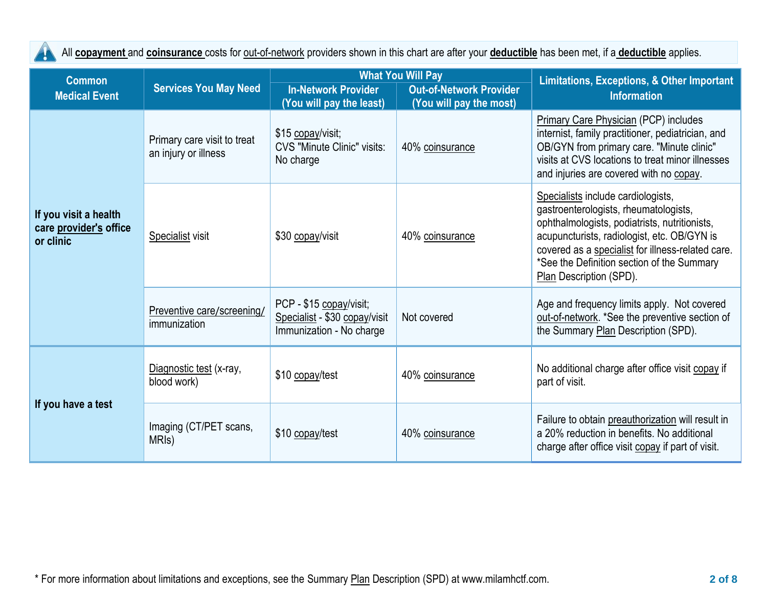All **[copayment](https://www.healthcare.gov/sbc-glossary/#copayment)** and **[coinsurance](https://www.healthcare.gov/sbc-glossary/#coinsurance)** costs for out-of-network providers shown in this chart are after your **[deductible](https://www.healthcare.gov/sbc-glossary/#deductible)** has been met, if a **[deductible](https://www.healthcare.gov/sbc-glossary/#deductible)** applies.

Ţ

| <b>Common</b>                                                |                                                     |                                                                                      | <b>What You Will Pay</b>                                  | <b>Limitations, Exceptions, &amp; Other Important</b>                                                                                                                                                                                                                                                     |  |
|--------------------------------------------------------------|-----------------------------------------------------|--------------------------------------------------------------------------------------|-----------------------------------------------------------|-----------------------------------------------------------------------------------------------------------------------------------------------------------------------------------------------------------------------------------------------------------------------------------------------------------|--|
| <b>Medical Event</b>                                         | <b>Services You May Need</b>                        | <b>In-Network Provider</b><br>(You will pay the least)                               | <b>Out-of-Network Provider</b><br>(You will pay the most) | <b>Information</b>                                                                                                                                                                                                                                                                                        |  |
| If you visit a health<br>care provider's office<br>or clinic | Primary care visit to treat<br>an injury or illness | \$15 copay/visit;<br><b>CVS "Minute Clinic" visits:</b><br>No charge                 | 40% coinsurance                                           | <b>Primary Care Physician (PCP) includes</b><br>internist, family practitioner, pediatrician, and<br>OB/GYN from primary care. "Minute clinic"<br>visits at CVS locations to treat minor illnesses<br>and injuries are covered with no copay.                                                             |  |
|                                                              | Specialist visit                                    | \$30 copay/visit                                                                     | 40% coinsurance                                           | Specialists include cardiologists,<br>gastroenterologists, rheumatologists,<br>ophthalmologists, podiatrists, nutritionists,<br>acupuncturists, radiologist, etc. OB/GYN is<br>covered as a specialist for illness-related care.<br>*See the Definition section of the Summary<br>Plan Description (SPD). |  |
|                                                              | Preventive care/screening/<br>immunization          | PCP - \$15 copay/visit;<br>Specialist - \$30 copay/visit<br>Immunization - No charge | Not covered                                               | Age and frequency limits apply. Not covered<br>out-of-network. *See the preventive section of<br>the Summary Plan Description (SPD).                                                                                                                                                                      |  |
| If you have a test                                           | Diagnostic test (x-ray,<br>blood work)              | \$10 copay/test                                                                      | 40% coinsurance                                           | No additional charge after office visit copay if<br>part of visit.                                                                                                                                                                                                                                        |  |
|                                                              | Imaging (CT/PET scans,<br>MRI <sub>s</sub> )        | \$10 copay/test                                                                      | 40% coinsurance                                           | Failure to obtain preauthorization will result in<br>a 20% reduction in benefits. No additional<br>charge after office visit copay if part of visit.                                                                                                                                                      |  |

\* For more information about limitations and exceptions, see the Summary Plan Description (SPD) at www.milamhctf.com. **2 of 8**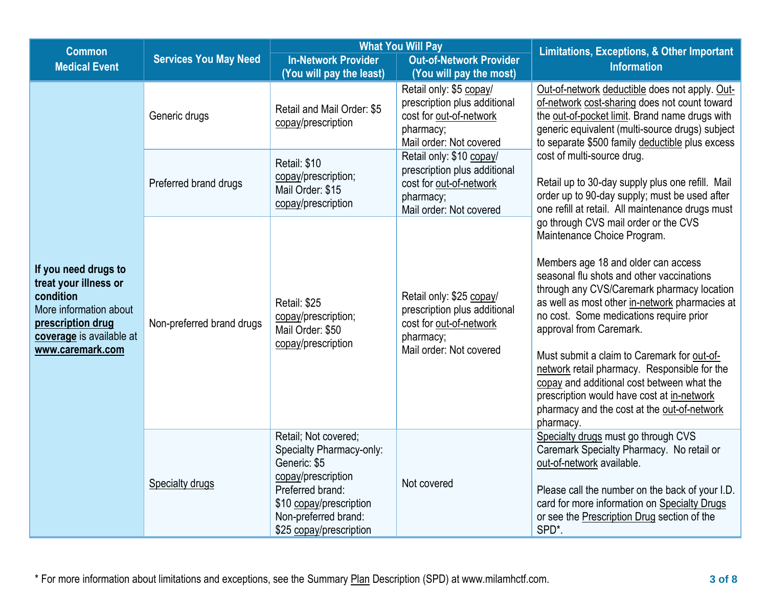| <b>Common</b>                                                                                                                                             | <b>What You Will Pay</b>     |                                                                                                                                                                                          |                                                                                                                             | <b>Limitations, Exceptions, &amp; Other Important</b>                                                                                                                                                                                                                                                                                                                                                                                                                                                                                                                                |  |
|-----------------------------------------------------------------------------------------------------------------------------------------------------------|------------------------------|------------------------------------------------------------------------------------------------------------------------------------------------------------------------------------------|-----------------------------------------------------------------------------------------------------------------------------|--------------------------------------------------------------------------------------------------------------------------------------------------------------------------------------------------------------------------------------------------------------------------------------------------------------------------------------------------------------------------------------------------------------------------------------------------------------------------------------------------------------------------------------------------------------------------------------|--|
| <b>Medical Event</b>                                                                                                                                      | <b>Services You May Need</b> | <b>In-Network Provider</b><br>(You will pay the least)                                                                                                                                   | <b>Out-of-Network Provider</b><br>(You will pay the most)                                                                   | <b>Information</b>                                                                                                                                                                                                                                                                                                                                                                                                                                                                                                                                                                   |  |
| If you need drugs to<br>treat your illness or<br>condition<br>More information about<br>prescription drug<br>coverage is available at<br>www.caremark.com | Generic drugs                | Retail and Mail Order: \$5<br>copay/prescription                                                                                                                                         | Retail only: \$5 copay/<br>prescription plus additional<br>cost for out-of-network<br>pharmacy;<br>Mail order: Not covered  | Out-of-network deductible does not apply. Out-<br>of-network cost-sharing does not count toward<br>the out-of-pocket limit. Brand name drugs with<br>generic equivalent (multi-source drugs) subject<br>to separate \$500 family deductible plus excess<br>cost of multi-source drug.<br>Retail up to 30-day supply plus one refill. Mail<br>order up to 90-day supply; must be used after<br>one refill at retail. All maintenance drugs must                                                                                                                                       |  |
|                                                                                                                                                           | Preferred brand drugs        | Retail: \$10<br>copay/prescription;<br>Mail Order: \$15<br>copay/prescription                                                                                                            | Retail only: \$10 copay/<br>prescription plus additional<br>cost for out-of-network<br>pharmacy;<br>Mail order: Not covered |                                                                                                                                                                                                                                                                                                                                                                                                                                                                                                                                                                                      |  |
|                                                                                                                                                           | Non-preferred brand drugs    | Retail: \$25<br>copay/prescription;<br>Mail Order: \$50<br>copay/prescription                                                                                                            | Retail only: \$25 copay/<br>prescription plus additional<br>cost for out-of-network<br>pharmacy;<br>Mail order: Not covered | go through CVS mail order or the CVS<br>Maintenance Choice Program.<br>Members age 18 and older can access<br>seasonal flu shots and other vaccinations<br>through any CVS/Caremark pharmacy location<br>as well as most other in-network pharmacies at<br>no cost. Some medications require prior<br>approval from Caremark.<br>Must submit a claim to Caremark for out-of-<br>network retail pharmacy. Responsible for the<br>copay and additional cost between what the<br>prescription would have cost at in-network<br>pharmacy and the cost at the out-of-network<br>pharmacy. |  |
|                                                                                                                                                           | <b>Specialty drugs</b>       | Retail; Not covered;<br>Specialty Pharmacy-only:<br>Generic: \$5<br>copay/prescription<br>Preferred brand:<br>\$10 copay/prescription<br>Non-preferred brand:<br>\$25 copay/prescription | Not covered                                                                                                                 | Specialty drugs must go through CVS<br>Caremark Specialty Pharmacy. No retail or<br>out-of-network available.<br>Please call the number on the back of your I.D.<br>card for more information on Specialty Drugs<br>or see the Prescription Drug section of the<br>SPD*.                                                                                                                                                                                                                                                                                                             |  |

\* For more information about limitations and exceptions, see the Summary Plan Description (SPD) at www.milamhctf.com. **3 of 8**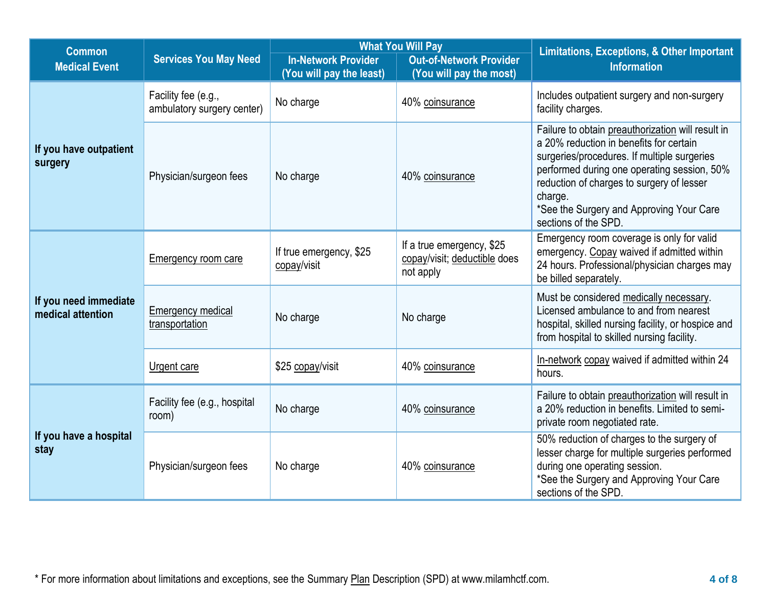| <b>Common</b>                              |                                                   |                                                        | <b>What You Will Pay</b>                                               | <b>Limitations, Exceptions, &amp; Other Important</b>                                                                                                                                                                                                                                                                  |  |
|--------------------------------------------|---------------------------------------------------|--------------------------------------------------------|------------------------------------------------------------------------|------------------------------------------------------------------------------------------------------------------------------------------------------------------------------------------------------------------------------------------------------------------------------------------------------------------------|--|
| <b>Medical Event</b>                       | <b>Services You May Need</b>                      | <b>In-Network Provider</b><br>(You will pay the least) | <b>Out-of-Network Provider</b><br>(You will pay the most)              | <b>Information</b>                                                                                                                                                                                                                                                                                                     |  |
| If you have outpatient<br>surgery          | Facility fee (e.g.,<br>ambulatory surgery center) | No charge                                              | 40% coinsurance                                                        | Includes outpatient surgery and non-surgery<br>facility charges.                                                                                                                                                                                                                                                       |  |
|                                            | Physician/surgeon fees                            | No charge                                              | 40% coinsurance                                                        | Failure to obtain preauthorization will result in<br>a 20% reduction in benefits for certain<br>surgeries/procedures. If multiple surgeries<br>performed during one operating session, 50%<br>reduction of charges to surgery of lesser<br>charge.<br>*See the Surgery and Approving Your Care<br>sections of the SPD. |  |
| If you need immediate<br>medical attention | <b>Emergency room care</b>                        | If true emergency, \$25<br>copay/visit                 | If a true emergency, \$25<br>copay/visit; deductible does<br>not apply | Emergency room coverage is only for valid<br>emergency. Copay waived if admitted within<br>24 hours. Professional/physician charges may<br>be billed separately.                                                                                                                                                       |  |
|                                            | <b>Emergency medical</b><br>transportation        | No charge                                              | No charge                                                              | Must be considered medically necessary.<br>Licensed ambulance to and from nearest<br>hospital, skilled nursing facility, or hospice and<br>from hospital to skilled nursing facility.                                                                                                                                  |  |
|                                            | Urgent care                                       | \$25 copay/visit                                       | 40% coinsurance                                                        | In-network copay waived if admitted within 24<br>hours.                                                                                                                                                                                                                                                                |  |
| If you have a hospital<br>stay             | Facility fee (e.g., hospital<br>room)             | No charge                                              | 40% coinsurance                                                        | Failure to obtain preauthorization will result in<br>a 20% reduction in benefits. Limited to semi-<br>private room negotiated rate.                                                                                                                                                                                    |  |
|                                            | Physician/surgeon fees                            | No charge                                              | 40% coinsurance                                                        | 50% reduction of charges to the surgery of<br>lesser charge for multiple surgeries performed<br>during one operating session.<br>*See the Surgery and Approving Your Care<br>sections of the SPD.                                                                                                                      |  |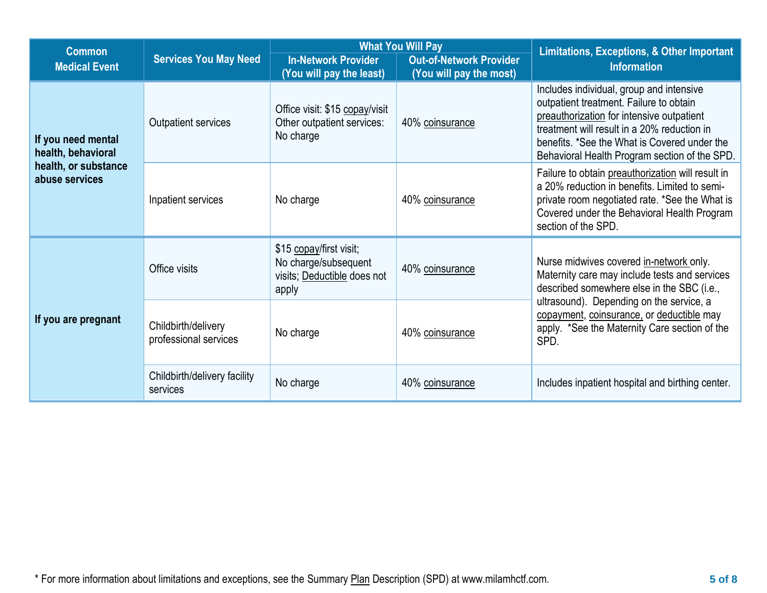| <b>Common</b>                                                                      |                                              | <b>What You Will Pay</b>                                                                |                                                           | <b>Limitations, Exceptions, &amp; Other Important</b>                                                                                                                                                                                                                            |  |
|------------------------------------------------------------------------------------|----------------------------------------------|-----------------------------------------------------------------------------------------|-----------------------------------------------------------|----------------------------------------------------------------------------------------------------------------------------------------------------------------------------------------------------------------------------------------------------------------------------------|--|
| <b>Medical Event</b>                                                               | <b>Services You May Need</b>                 | <b>In-Network Provider</b><br>(You will pay the least)                                  | <b>Out-of-Network Provider</b><br>(You will pay the most) | <b>Information</b>                                                                                                                                                                                                                                                               |  |
| If you need mental<br>health, behavioral<br>health, or substance<br>abuse services | Outpatient services                          | Office visit: \$15 copay/visit<br>Other outpatient services:<br>No charge               | 40% coinsurance                                           | Includes individual, group and intensive<br>outpatient treatment. Failure to obtain<br>preauthorization for intensive outpatient<br>treatment will result in a 20% reduction in<br>benefits. *See the What is Covered under the<br>Behavioral Health Program section of the SPD. |  |
|                                                                                    | Inpatient services                           | No charge                                                                               | 40% coinsurance                                           | Failure to obtain preauthorization will result in<br>a 20% reduction in benefits. Limited to semi-<br>private room negotiated rate. *See the What is<br>Covered under the Behavioral Health Program<br>section of the SPD.                                                       |  |
| If you are pregnant                                                                | Office visits                                | \$15 copay/first visit;<br>No charge/subsequent<br>visits; Deductible does not<br>apply | 40% coinsurance                                           | Nurse midwives covered in-network only.<br>Maternity care may include tests and services<br>described somewhere else in the SBC (i.e.,                                                                                                                                           |  |
|                                                                                    | Childbirth/delivery<br>professional services | No charge                                                                               | 40% coinsurance                                           | ultrasound). Depending on the service, a<br>copayment, coinsurance, or deductible may<br>apply. *See the Maternity Care section of the<br>SPD.                                                                                                                                   |  |
|                                                                                    | Childbirth/delivery facility<br>services     | No charge                                                                               | 40% coinsurance                                           | Includes inpatient hospital and birthing center.                                                                                                                                                                                                                                 |  |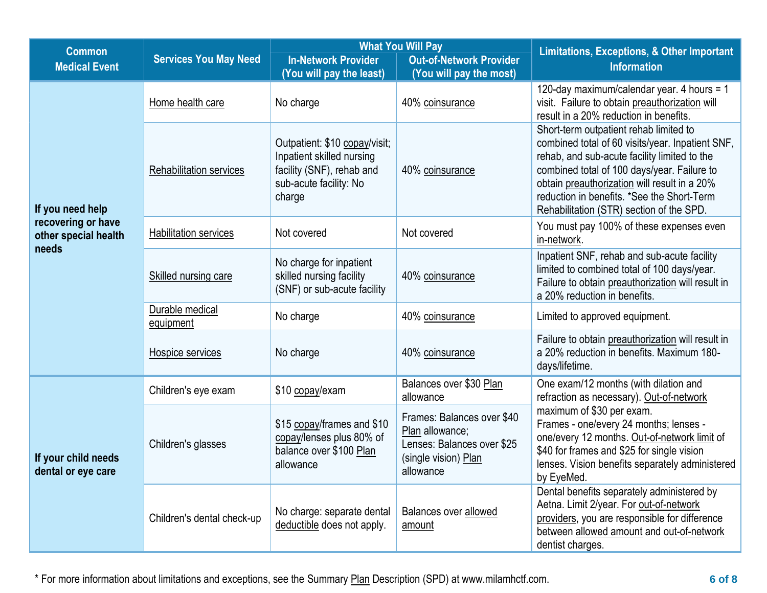| <b>Common</b>                              |                                |                                                                                                                             | <b>What You Will Pay</b>                                                                                         | <b>Limitations, Exceptions, &amp; Other Important</b>                                                                                                                                                                                                                                                                               |
|--------------------------------------------|--------------------------------|-----------------------------------------------------------------------------------------------------------------------------|------------------------------------------------------------------------------------------------------------------|-------------------------------------------------------------------------------------------------------------------------------------------------------------------------------------------------------------------------------------------------------------------------------------------------------------------------------------|
| <b>Medical Event</b>                       | <b>Services You May Need</b>   | <b>In-Network Provider</b><br>(You will pay the least)                                                                      | <b>Out-of-Network Provider</b><br>(You will pay the most)                                                        | <b>Information</b>                                                                                                                                                                                                                                                                                                                  |
| If you need help                           | Home health care               | No charge                                                                                                                   | 40% coinsurance                                                                                                  | 120-day maximum/calendar year. 4 hours = 1<br>visit. Failure to obtain preauthorization will<br>result in a 20% reduction in benefits.                                                                                                                                                                                              |
|                                            | <b>Rehabilitation services</b> | Outpatient: \$10 copay/visit;<br>Inpatient skilled nursing<br>facility (SNF), rehab and<br>sub-acute facility: No<br>charge | 40% coinsurance                                                                                                  | Short-term outpatient rehab limited to<br>combined total of 60 visits/year. Inpatient SNF,<br>rehab, and sub-acute facility limited to the<br>combined total of 100 days/year. Failure to<br>obtain preauthorization will result in a 20%<br>reduction in benefits. *See the Short-Term<br>Rehabilitation (STR) section of the SPD. |
| recovering or have<br>other special health | <b>Habilitation services</b>   | Not covered                                                                                                                 | Not covered                                                                                                      | You must pay 100% of these expenses even<br>in-network.                                                                                                                                                                                                                                                                             |
| needs                                      | Skilled nursing care           | No charge for inpatient<br>skilled nursing facility<br>(SNF) or sub-acute facility                                          | 40% coinsurance                                                                                                  | Inpatient SNF, rehab and sub-acute facility<br>limited to combined total of 100 days/year.<br>Failure to obtain preauthorization will result in<br>a 20% reduction in benefits.                                                                                                                                                     |
|                                            | Durable medical<br>equipment   | No charge                                                                                                                   | 40% coinsurance                                                                                                  | Limited to approved equipment.                                                                                                                                                                                                                                                                                                      |
|                                            | Hospice services               | No charge                                                                                                                   | 40% coinsurance                                                                                                  | Failure to obtain preauthorization will result in<br>a 20% reduction in benefits. Maximum 180-<br>days/lifetime.                                                                                                                                                                                                                    |
| If your child needs<br>dental or eye care  | Children's eye exam            | \$10 copay/exam                                                                                                             | Balances over \$30 Plan<br>allowance                                                                             | One exam/12 months (with dilation and<br>refraction as necessary). Out-of-network                                                                                                                                                                                                                                                   |
|                                            | Children's glasses             | \$15 copay/frames and \$10<br>copay/lenses plus 80% of<br>balance over \$100 Plan<br>allowance                              | Frames: Balances over \$40<br>Plan allowance;<br>Lenses: Balances over \$25<br>(single vision) Plan<br>allowance | maximum of \$30 per exam.<br>Frames - one/every 24 months; lenses -<br>one/every 12 months. Out-of-network limit of<br>\$40 for frames and \$25 for single vision<br>lenses. Vision benefits separately administered<br>by EyeMed.                                                                                                  |
|                                            | Children's dental check-up     | No charge: separate dental<br>deductible does not apply.                                                                    | Balances over allowed<br>amount                                                                                  | Dental benefits separately administered by<br>Aetna. Limit 2/year. For out-of-network<br>providers, you are responsible for difference<br>between allowed amount and out-of-network<br>dentist charges.                                                                                                                             |

\* For more information about limitations and exceptions, see the Summary Plan Description (SPD) at www.milamhctf.com. **6 of 8**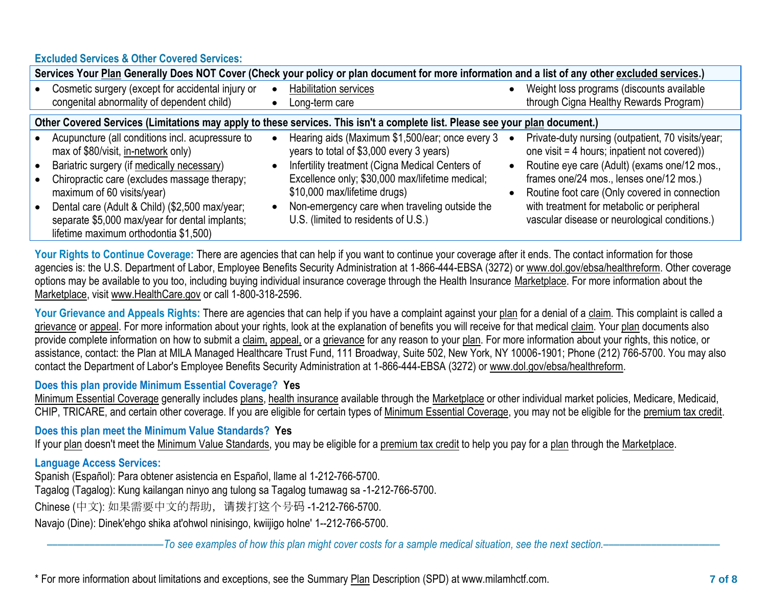### **Excluded Services & Other Covered Services:**

|                                                                                                                                                                                                                                                                                                                                                                                                         | Services Your Plan Generally Does NOT Cover (Check your policy or plan document for more information and a list of any other excluded services.)                                                                                                                                                                          |                                                                                                                                                                                                                                                                                                                                              |
|---------------------------------------------------------------------------------------------------------------------------------------------------------------------------------------------------------------------------------------------------------------------------------------------------------------------------------------------------------------------------------------------------------|---------------------------------------------------------------------------------------------------------------------------------------------------------------------------------------------------------------------------------------------------------------------------------------------------------------------------|----------------------------------------------------------------------------------------------------------------------------------------------------------------------------------------------------------------------------------------------------------------------------------------------------------------------------------------------|
| • Cosmetic surgery (except for accidental injury or<br>congenital abnormality of dependent child)                                                                                                                                                                                                                                                                                                       | Habilitation services<br>Long-term care                                                                                                                                                                                                                                                                                   | Weight loss programs (discounts available<br>through Cigna Healthy Rewards Program)                                                                                                                                                                                                                                                          |
|                                                                                                                                                                                                                                                                                                                                                                                                         | Other Covered Services (Limitations may apply to these services. This isn't a complete list. Please see your plan document.)                                                                                                                                                                                              |                                                                                                                                                                                                                                                                                                                                              |
| Acupuncture (all conditions incl. acupressure to<br>max of \$80/visit, in-network only)<br>Bariatric surgery (if medically necessary)<br>$\bullet$<br>Chiropractic care (excludes massage therapy;<br>$\bullet$<br>maximum of 60 visits/year)<br>Dental care (Adult & Child) (\$2,500 max/year;<br>$\bullet$<br>separate \$5,000 max/year for dental implants;<br>lifetime maximum orthodontia \$1,500) | Hearing aids (Maximum \$1,500/ear; once every 3<br>years to total of \$3,000 every 3 years)<br>Infertility treatment (Cigna Medical Centers of<br>Excellence only; \$30,000 max/lifetime medical;<br>\$10,000 max/lifetime drugs)<br>Non-emergency care when traveling outside the<br>U.S. (limited to residents of U.S.) | Private-duty nursing (outpatient, 70 visits/year;<br>one visit = 4 hours; inpatient not covered))<br>Routine eye care (Adult) (exams one/12 mos.,<br>frames one/24 mos., lenses one/12 mos.)<br>Routine foot care (Only covered in connection<br>with treatment for metabolic or peripheral<br>vascular disease or neurological conditions.) |

Your Rights to Continue Coverage: There are agencies that can help if you want to continue your coverage after it ends. The contact information for those agencies is: the U.S. Department of Labor, Employee Benefits Security Administration at 1-866-444-EBSA (3272) or www.dol.gov/ebsa/healthreform. Other coverage options may be available to you too, including buying individual insurance coverage through the Health Insurance [Marketplace.](https://www.healthcare.gov/sbc-glossary/#marketplace) For more information about the [Marketplace,](https://www.healthcare.gov/sbc-glossary/#marketplace) visit [www.HealthCare.gov](http://www.healthcare.gov/) or call 1-800-318-2596.

Your Grievance and Appeals Rights: There are agencies that can help if you have a complaint against your [plan](https://www.healthcare.gov/sbc-glossary/#plan) for a denial of a [claim.](https://www.healthcare.gov/sbc-glossary/#claim) This complaint is called a [grievance](https://www.healthcare.gov/sbc-glossary/#grievance) or [appeal.](https://www.healthcare.gov/sbc-glossary/#appeal) For more information about your rights, look at the explanation of benefits you will receive for that medica[l claim.](https://www.healthcare.gov/sbc-glossary/#claim) Your [plan](https://www.healthcare.gov/sbc-glossary/#plan) documents also provide complete information on how to submit a [claim,](https://www.healthcare.gov/sbc-glossary/#claim) [appeal,](https://www.healthcare.gov/sbc-glossary/#appeal) or a [grievance](https://www.healthcare.gov/sbc-glossary/#grievance) for any reason to your [plan.](https://www.healthcare.gov/sbc-glossary/#plan) For more information about your rights, this notice, or assistance, contact: the Plan at MILA Managed Healthcare Trust Fund, 111 Broadway, Suite 502, New York, NY 10006-1901; Phone (212) 766-5700. You may also contact the Department of Labor's Employee Benefits Security Administration at 1-866-444-EBSA (3272) or www.dol.gov/ebsa/healthreform.

## **Does this plan provide Minimum Essential Coverage? Yes**

[Minimum Essential Coverage](https://www.healthcare.gov/sbc-glossary/#minimum-essential-coverage) generally includes plans, health insurance available through the Marketplace or other individual market policies, Medicare, Medicaid, CHIP, TRICARE, and certain other coverage. If you are eligible for certain types of [Minimum Essential Coverage,](https://www.healthcare.gov/sbc-glossary/#minimum-essential-coverage) you may not be eligible for the premium tax credit.

# **Does this plan meet the Minimum Value Standards? Yes**

If your [plan](https://www.healthcare.gov/sbc-glossary/#plan) doesn't meet the [Minimum Value Standards,](https://www.healthcare.gov/sbc-glossary/#minimum-value-standard) you may be eligible for a [premium tax credit](https://www.healthcare.gov/sbc-glossary/#premium-tax-credits) to help you pay for a [plan](https://www.healthcare.gov/sbc-glossary/#plan) through the [Marketplace.](https://www.healthcare.gov/sbc-glossary/#marketplace)

# **Language Access Services:**

Spanish (Español): Para obtener asistencia en Español, llame al 1-212-766-5700.

Tagalog (Tagalog): Kung kailangan ninyo ang tulong sa Tagalog tumawag sa -1-212-766-5700.

Chinese (中文): 如果需要中文的帮助, 请拨打这个号码 -1-212-766-5700.

Navajo (Dine): Dinek'ehgo shika at'ohwol ninisingo, kwiijigo holne' 1--212-766-5700.

––––––––––––––––––––––*To see examples of how this plan might cover costs for a sample medical situation, see the next section.–––––––––––*–––––––––––

\* For more information about limitations and exceptions, see the Summary Plan Description (SPD) at www.milamhctf.com. **7 of 8**